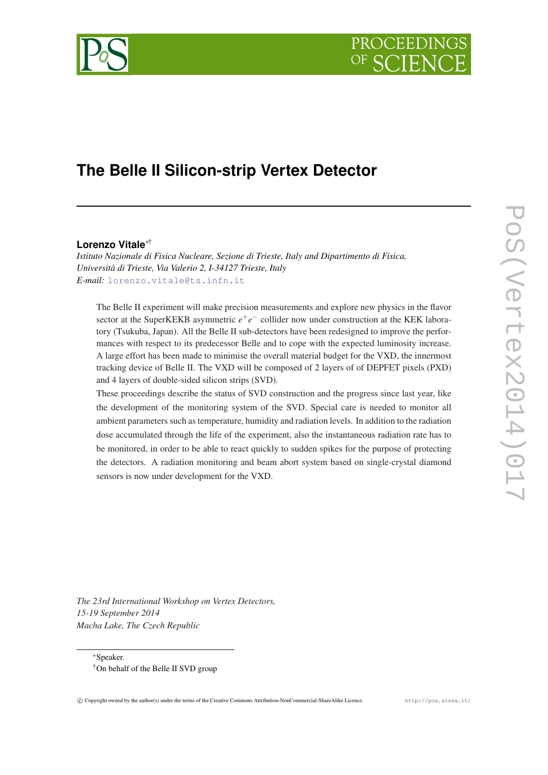



# **The Belle II Silicon-strip Vertex Detector**

#### **Lorenzo Vitale**∗†

*Istituto Nazionale di Fisica Nucleare, Sezione di Trieste, Italy and Dipartimento di Fisica, Università di Trieste, Via Valerio 2, I-34127 Trieste, Italy E-mail:* [lorenzo.vitale@ts.infn.it](mailto:lorenzo.vitale@ts.infn.it)

The Belle II experiment will make precision measurements and explore new physics in the flavor sector at the SuperKEKB asymmetric  $e^+e^-$  collider now under construction at the KEK laboratory (Tsukuba, Japan). All the Belle II sub-detectors have been redesigned to improve the performances with respect to its predecessor Belle and to cope with the expected luminosity increase. A large effort has been made to minimise the overall material budget for the VXD, the innermost tracking device of Belle II. The VXD will be composed of 2 layers of of DEPFET pixels (PXD) and 4 layers of double-sided silicon strips (SVD).

These proceedings describe the status of SVD construction and the progress since last year, like the development of the monitoring system of the SVD. Special care is needed to monitor all ambient parameters such as temperature, humidity and radiation levels. In addition to the radiation dose accumulated through the life of the experiment, also the instantaneous radiation rate has to be monitored, in order to be able to react quickly to sudden spikes for the purpose of protecting the detectors. A radiation monitoring and beam abort system based on single-crystal diamond sensors is now under development for the VXD.

*The 23rd International Workshop on Vertex Detectors, 15-19 September 2014 Macha Lake, The Czech Republic*

<sup>∗</sup>Speaker. †On behalf of the Belle II SVD group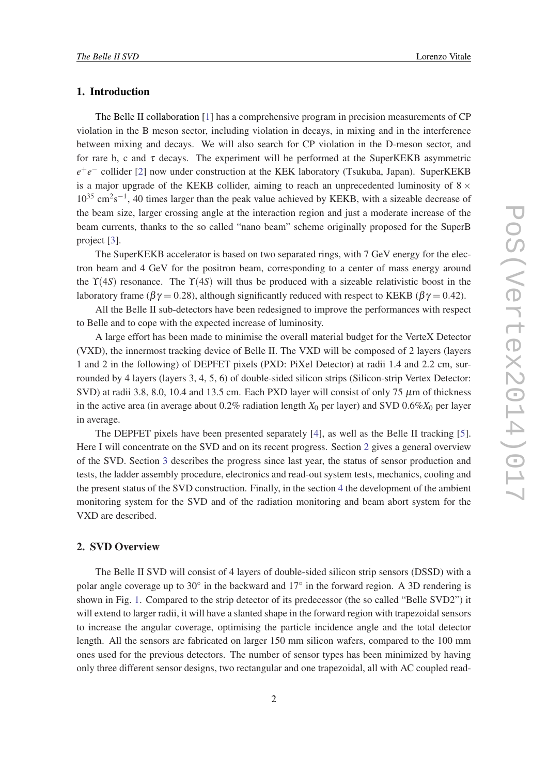# 1. Introduction

The Belle II collaboration [\[1](#page-7-0)] has a comprehensive program in precision measurements of CP violation in the B meson sector, including violation in decays, in mixing and in the interference between mixing and decays. We will also search for CP violation in the D-meson sector, and for rare b, c and  $\tau$  decays. The experiment will be performed at the SuperKEKB asymmetric *e*<sup>+</sup>e<sup>−</sup> collider [\[2\]](#page-7-0) now under construction at the KEK laboratory (Tsukuba, Japan). SuperKEKB is a major upgrade of the KEKB collider, aiming to reach an unprecedented luminosity of  $8 \times$  $10^{35}$  cm<sup>2</sup>s<sup>-1</sup>, 40 times larger than the peak value achieved by KEKB, with a sizeable decrease of the beam size, larger crossing angle at the interaction region and just a moderate increase of the beam currents, thanks to the so called "nano beam" scheme originally proposed for the SuperB project [[3](#page-7-0)].

The SuperKEKB accelerator is based on two separated rings, with 7 GeV energy for the electron beam and 4 GeV for the positron beam, corresponding to a center of mass energy around the  $\Upsilon(4S)$  resonance. The  $\Upsilon(4S)$  will thus be produced with a sizeable relativistic boost in the laboratory frame ( $\beta \gamma = 0.28$ ), although significantly reduced with respect to KEKB ( $\beta \gamma = 0.42$ ).

All the Belle II sub-detectors have been redesigned to improve the performances with respect to Belle and to cope with the expected increase of luminosity.

A large effort has been made to minimise the overall material budget for the VerteX Detector (VXD), the innermost tracking device of Belle II. The VXD will be composed of 2 layers (layers 1 and 2 in the following) of DEPFET pixels (PXD: PiXel Detector) at radii 1.4 and 2.2 cm, surrounded by 4 layers (layers 3, 4, 5, 6) of double-sided silicon strips (Silicon-strip Vertex Detector: SVD) at radii 3.8, 8.0, 10.4 and 13.5 cm. Each PXD layer will consist of only 75  $\mu$ m of thickness in the active area (in average about  $0.2\%$  radiation length  $X_0$  per layer) and SVD  $0.6\%X_0$  per layer in average.

The DEPFET pixels have been presented separately [[4](#page-7-0)], as well as the Belle II tracking [\[5\]](#page-7-0). Here I will concentrate on the SVD and on its recent progress. Section 2 gives a general overview of the SVD. Section [3](#page-4-0) describes the progress since last year, the status of sensor production and tests, the ladder assembly procedure, electronics and read-out system tests, mechanics, cooling and the present status of the SVD construction. Finally, in the section [4](#page-5-0) the development of the ambient monitoring system for the SVD and of the radiation monitoring and beam abort system for the VXD are described.

# 2. SVD Overview

The Belle II SVD will consist of 4 layers of double-sided silicon strip sensors (DSSD) with a polar angle coverage up to  $30^\circ$  in the backward and  $17^\circ$  in the forward region. A 3D rendering is shown in Fig. [1.](#page-2-0) Compared to the strip detector of its predecessor (the so called "Belle SVD2") it will extend to larger radii, it will have a slanted shape in the forward region with trapezoidal sensors to increase the angular coverage, optimising the particle incidence angle and the total detector length. All the sensors are fabricated on larger 150 mm silicon wafers, compared to the 100 mm ones used for the previous detectors. The number of sensor types has been minimized by having only three different sensor designs, two rectangular and one trapezoidal, all with AC coupled read-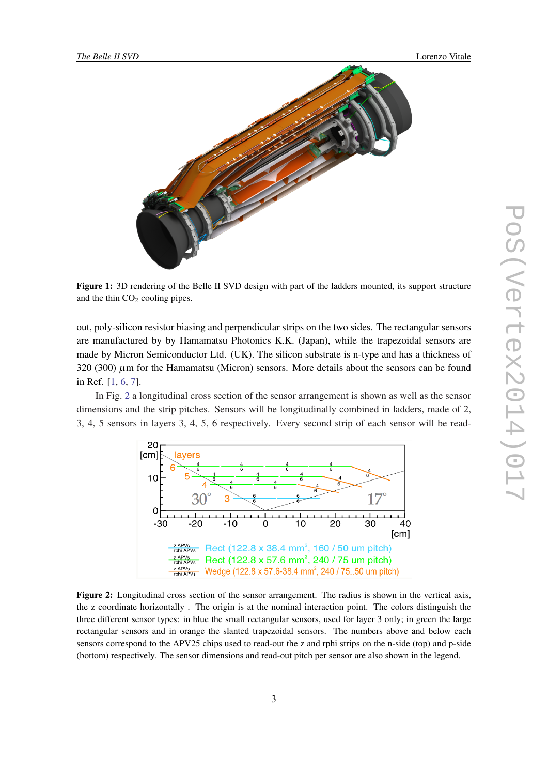<span id="page-2-0"></span>

Figure 1: 3D rendering of the Belle II SVD design with part of the ladders mounted, its support structure and the thin  $CO<sub>2</sub>$  cooling pipes.

out, poly-silicon resistor biasing and perpendicular strips on the two sides. The rectangular sensors are manufactured by by Hamamatsu Photonics K.K. (Japan), while the trapezoidal sensors are made by Micron Semiconductor Ltd. (UK). The silicon substrate is n-type and has a thickness of 320 (300) µm for the Hamamatsu (Micron) sensors. More details about the sensors can be found in Ref. [\[1,](#page-7-0) [6](#page-7-0), [7](#page-7-0)].

In Fig. 2 a longitudinal cross section of the sensor arrangement is shown as well as the sensor dimensions and the strip pitches. Sensors will be longitudinally combined in ladders, made of 2, 3, 4, 5 sensors in layers 3, 4, 5, 6 respectively. Every second strip of each sensor will be read-



Figure 2: Longitudinal cross section of the sensor arrangement. The radius is shown in the vertical axis, the z coordinate horizontally . The origin is at the nominal interaction point. The colors distinguish the three different sensor types: in blue the small rectangular sensors, used for layer 3 only; in green the large rectangular sensors and in orange the slanted trapezoidal sensors. The numbers above and below each sensors correspond to the APV25 chips used to read-out the z and rphi strips on the n-side (top) and p-side (bottom) respectively. The sensor dimensions and read-out pitch per sensor are also shown in the legend.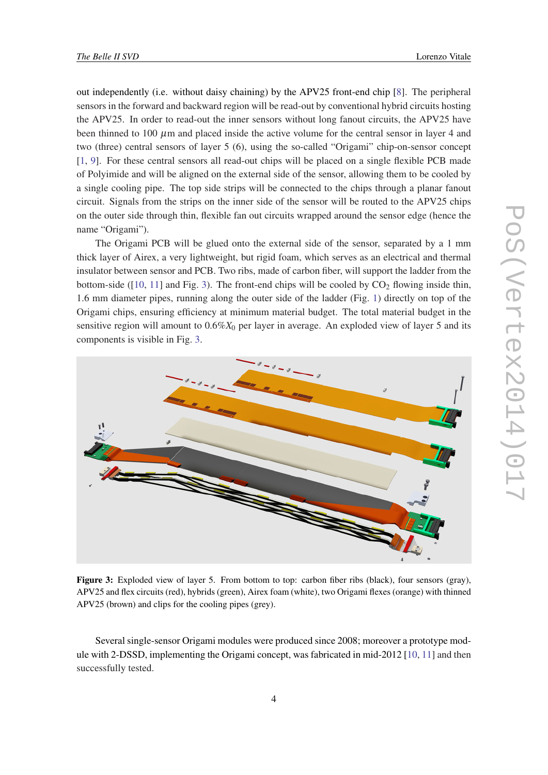<span id="page-3-0"></span>out independently (i.e. without daisy chaining) by the APV25 front-end chip [[8](#page-7-0)]. The peripheral sensors in the forward and backward region will be read-out by conventional hybrid circuits hosting the APV25. In order to read-out the inner sensors without long fanout circuits, the APV25 have been thinned to 100  $\mu$ m and placed inside the active volume for the central sensor in layer 4 and two (three) central sensors of layer 5 (6), using the so-called "Origami" chip-on-sensor concept [[1](#page-7-0), [9](#page-7-0)]. For these central sensors all read-out chips will be placed on a single flexible PCB made of Polyimide and will be aligned on the external side of the sensor, allowing them to be cooled by a single cooling pipe. The top side strips will be connected to the chips through a planar fanout circuit. Signals from the strips on the inner side of the sensor will be routed to the APV25 chips on the outer side through thin, flexible fan out circuits wrapped around the sensor edge (hence the name "Origami").

The Origami PCB will be glued onto the external side of the sensor, separated by a 1 mm thick layer of Airex, a very lightweight, but rigid foam, which serves as an electrical and thermal insulator between sensor and PCB. Two ribs, made of carbon fiber, will support the ladder from the bottom-side ( $[10, 11]$  $[10, 11]$  $[10, 11]$  $[10, 11]$  $[10, 11]$  and Fig. 3). The front-end chips will be cooled by  $CO<sub>2</sub>$  flowing inside thin, 1.6 mm diameter pipes, running along the outer side of the ladder (Fig. [1](#page-2-0)) directly on top of the Origami chips, ensuring efficiency at minimum material budget. The total material budget in the sensitive region will amount to  $0.6\%X_0$  per layer in average. An exploded view of layer 5 and its components is visible in Fig. 3.



Figure 3: Exploded view of layer 5. From bottom to top: carbon fiber ribs (black), four sensors (gray), APV25 and flex circuits (red), hybrids (green), Airex foam (white), two Origami flexes (orange) with thinned APV25 (brown) and clips for the cooling pipes (grey).

Several single-sensor Origami modules were produced since 2008; moreover a prototype module with 2-DSSD, implementing the Origami concept, was fabricated in mid-2012 [\[10](#page-7-0), [11](#page-7-0)] and then successfully tested.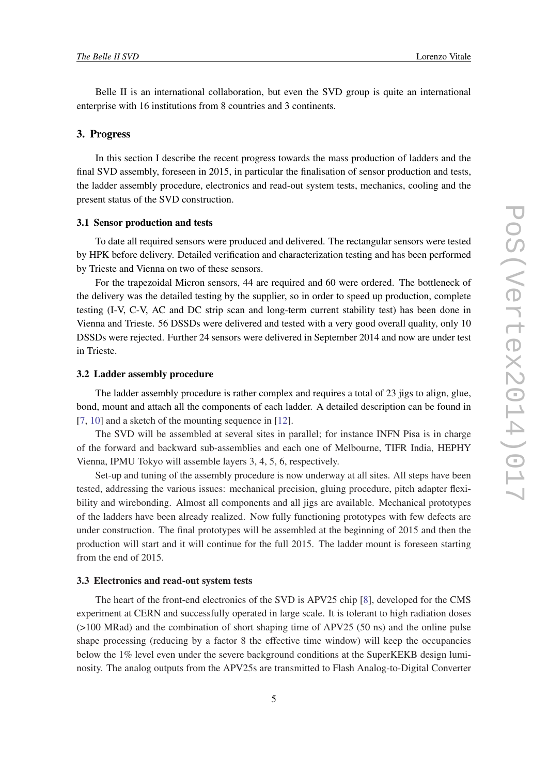<span id="page-4-0"></span>Belle II is an international collaboration, but even the SVD group is quite an international enterprise with 16 institutions from 8 countries and 3 continents.

#### 3. Progress

In this section I describe the recent progress towards the mass production of ladders and the final SVD assembly, foreseen in 2015, in particular the finalisation of sensor production and tests, the ladder assembly procedure, electronics and read-out system tests, mechanics, cooling and the present status of the SVD construction.

## 3.1 Sensor production and tests

To date all required sensors were produced and delivered. The rectangular sensors were tested by HPK before delivery. Detailed verification and characterization testing and has been performed by Trieste and Vienna on two of these sensors.

For the trapezoidal Micron sensors, 44 are required and 60 were ordered. The bottleneck of the delivery was the detailed testing by the supplier, so in order to speed up production, complete testing (I-V, C-V, AC and DC strip scan and long-term current stability test) has been done in Vienna and Trieste. 56 DSSDs were delivered and tested with a very good overall quality, only 10 DSSDs were rejected. Further 24 sensors were delivered in September 2014 and now are under test in Trieste.

#### 3.2 Ladder assembly procedure

The ladder assembly procedure is rather complex and requires a total of 23 jigs to align, glue, bond, mount and attach all the components of each ladder. A detailed description can be found in [[7](#page-7-0), [10\]](#page-7-0) and a sketch of the mounting sequence in [[12\]](#page-7-0).

The SVD will be assembled at several sites in parallel; for instance INFN Pisa is in charge of the forward and backward sub-assemblies and each one of Melbourne, TIFR India, HEPHY Vienna, IPMU Tokyo will assemble layers 3, 4, 5, 6, respectively.

Set-up and tuning of the assembly procedure is now underway at all sites. All steps have been tested, addressing the various issues: mechanical precision, gluing procedure, pitch adapter flexibility and wirebonding. Almost all components and all jigs are available. Mechanical prototypes of the ladders have been already realized. Now fully functioning prototypes with few defects are under construction. The final prototypes will be assembled at the beginning of 2015 and then the production will start and it will continue for the full 2015. The ladder mount is foreseen starting from the end of 2015.

#### 3.3 Electronics and read-out system tests

The heart of the front-end electronics of the SVD is APV25 chip [[8](#page-7-0)], developed for the CMS experiment at CERN and successfully operated in large scale. It is tolerant to high radiation doses (>100 MRad) and the combination of short shaping time of APV25 (50 ns) and the online pulse shape processing (reducing by a factor 8 the effective time window) will keep the occupancies below the 1% level even under the severe background conditions at the SuperKEKB design luminosity. The analog outputs from the APV25s are transmitted to Flash Analog-to-Digital Converter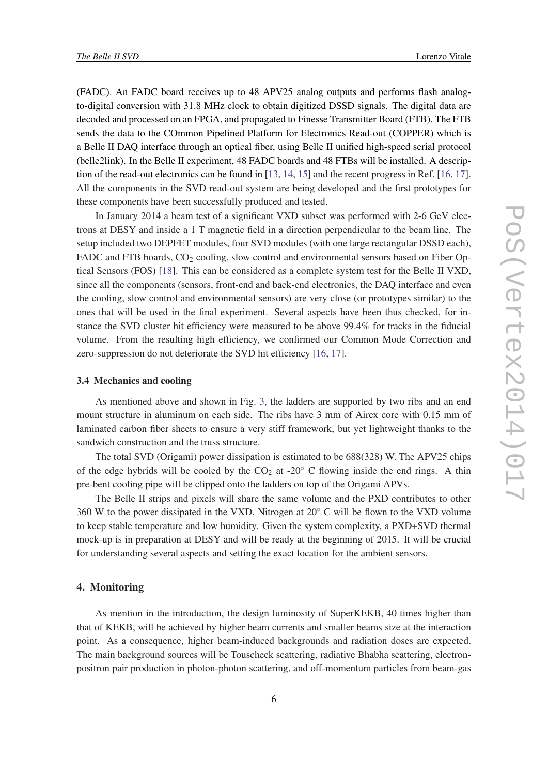<span id="page-5-0"></span>(FADC). An FADC board receives up to 48 APV25 analog outputs and performs flash analogto-digital conversion with 31.8 MHz clock to obtain digitized DSSD signals. The digital data are decoded and processed on an FPGA, and propagated to Finesse Transmitter Board (FTB). The FTB sends the data to the COmmon Pipelined Platform for Electronics Read-out (COPPER) which is a Belle II DAQ interface through an optical fiber, using Belle II unified high-speed serial protocol (belle2link). In the Belle II experiment, 48 FADC boards and 48 FTBs will be installed. A description of the read-out electronics can be found in [\[13](#page-7-0), [14](#page-7-0), [15](#page-7-0)] and the recent progress in Ref. [[16](#page-7-0), [17\]](#page-7-0). All the components in the SVD read-out system are being developed and the first prototypes for these components have been successfully produced and tested.

In January 2014 a beam test of a significant VXD subset was performed with 2-6 GeV electrons at DESY and inside a 1 T magnetic field in a direction perpendicular to the beam line. The setup included two DEPFET modules, four SVD modules (with one large rectangular DSSD each), FADC and FTB boards,  $CO<sub>2</sub>$  cooling, slow control and environmental sensors based on Fiber Optical Sensors (FOS) [\[18](#page-7-0)]. This can be considered as a complete system test for the Belle II VXD, since all the components (sensors, front-end and back-end electronics, the DAQ interface and even the cooling, slow control and environmental sensors) are very close (or prototypes similar) to the ones that will be used in the final experiment. Several aspects have been thus checked, for instance the SVD cluster hit efficiency were measured to be above 99.4% for tracks in the fiducial volume. From the resulting high efficiency, we confirmed our Common Mode Correction and zero-suppression do not deteriorate the SVD hit efficiency [\[16](#page-7-0), [17\]](#page-7-0).

#### 3.4 Mechanics and cooling

As mentioned above and shown in Fig. [3](#page-3-0), the ladders are supported by two ribs and an end mount structure in aluminum on each side. The ribs have 3 mm of Airex core with 0.15 mm of laminated carbon fiber sheets to ensure a very stiff framework, but yet lightweight thanks to the sandwich construction and the truss structure.

The total SVD (Origami) power dissipation is estimated to be 688(328) W. The APV25 chips of the edge hybrids will be cooled by the  $CO<sub>2</sub>$  at -20 $\degree$  C flowing inside the end rings. A thin pre-bent cooling pipe will be clipped onto the ladders on top of the Origami APVs.

The Belle II strips and pixels will share the same volume and the PXD contributes to other 360 W to the power dissipated in the VXD. Nitrogen at 20◦ C will be flown to the VXD volume to keep stable temperature and low humidity. Given the system complexity, a PXD+SVD thermal mock-up is in preparation at DESY and will be ready at the beginning of 2015. It will be crucial for understanding several aspects and setting the exact location for the ambient sensors.

## 4. Monitoring

As mention in the introduction, the design luminosity of SuperKEKB, 40 times higher than that of KEKB, will be achieved by higher beam currents and smaller beams size at the interaction point. As a consequence, higher beam-induced backgrounds and radiation doses are expected. The main background sources will be Touscheck scattering, radiative Bhabha scattering, electronpositron pair production in photon-photon scattering, and off-momentum particles from beam-gas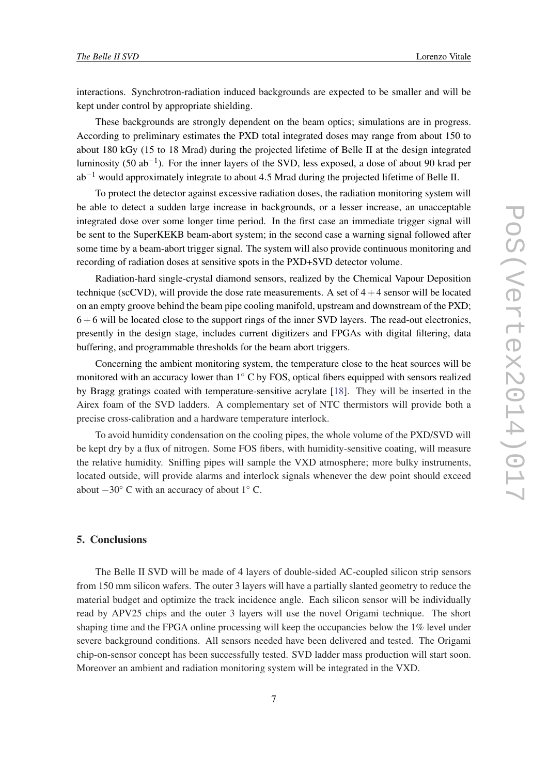interactions. Synchrotron-radiation induced backgrounds are expected to be smaller and will be kept under control by appropriate shielding.

These backgrounds are strongly dependent on the beam optics; simulations are in progress. According to preliminary estimates the PXD total integrated doses may range from about 150 to about 180 kGy (15 to 18 Mrad) during the projected lifetime of Belle II at the design integrated luminosity (50 ab<sup>-1</sup>). For the inner layers of the SVD, less exposed, a dose of about 90 krad per  $ab^{-1}$  would approximately integrate to about 4.5 Mrad during the projected lifetime of Belle II.

To protect the detector against excessive radiation doses, the radiation monitoring system will be able to detect a sudden large increase in backgrounds, or a lesser increase, an unacceptable integrated dose over some longer time period. In the first case an immediate trigger signal will be sent to the SuperKEKB beam-abort system; in the second case a warning signal followed after some time by a beam-abort trigger signal. The system will also provide continuous monitoring and recording of radiation doses at sensitive spots in the PXD+SVD detector volume.

Radiation-hard single-crystal diamond sensors, realized by the Chemical Vapour Deposition technique (scCVD), will provide the dose rate measurements. A set of  $4+4$  sensor will be located on an empty groove behind the beam pipe cooling manifold, upstream and downstream of the PXD;  $6+6$  will be located close to the support rings of the inner SVD layers. The read-out electronics, presently in the design stage, includes current digitizers and FPGAs with digital filtering, data buffering, and programmable thresholds for the beam abort triggers.

Concerning the ambient monitoring system, the temperature close to the heat sources will be monitored with an accuracy lower than 1◦ C by FOS, optical fibers equipped with sensors realized by Bragg gratings coated with temperature-sensitive acrylate [[18\]](#page-7-0). They will be inserted in the Airex foam of the SVD ladders. A complementary set of NTC thermistors will provide both a precise cross-calibration and a hardware temperature interlock.

To avoid humidity condensation on the cooling pipes, the whole volume of the PXD/SVD will be kept dry by a flux of nitrogen. Some FOS fibers, with humidity-sensitive coating, will measure the relative humidity. Sniffing pipes will sample the VXD atmosphere; more bulky instruments, located outside, will provide alarms and interlock signals whenever the dew point should exceed about  $-30^\circ$  C with an accuracy of about 1 $^\circ$  C.

# 5. Conclusions

The Belle II SVD will be made of 4 layers of double-sided AC-coupled silicon strip sensors from 150 mm silicon wafers. The outer 3 layers will have a partially slanted geometry to reduce the material budget and optimize the track incidence angle. Each silicon sensor will be individually read by APV25 chips and the outer 3 layers will use the novel Origami technique. The short shaping time and the FPGA online processing will keep the occupancies below the 1% level under severe background conditions. All sensors needed have been delivered and tested. The Origami chip-on-sensor concept has been successfully tested. SVD ladder mass production will start soon. Moreover an ambient and radiation monitoring system will be integrated in the VXD.